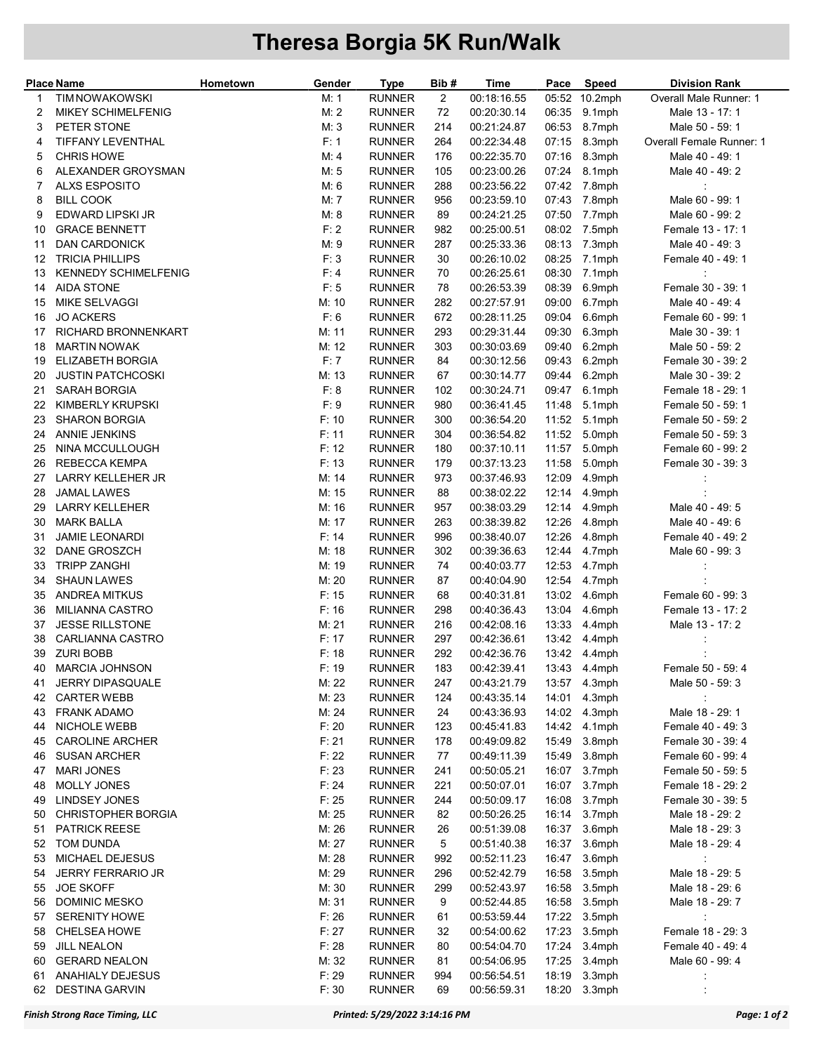## Theresa Borgia 5K Run/Walk

| <b>Place Name</b> |                             | Hometown | Gender | Type          | Bib#           | Time        | Pace  | Speed         | <b>Division Rank</b>     |
|-------------------|-----------------------------|----------|--------|---------------|----------------|-------------|-------|---------------|--------------------------|
| 1                 | <b>TIM NOWAKOWSKI</b>       |          | M: 1   | <b>RUNNER</b> | $\overline{2}$ | 00:18:16.55 |       | 05:52 10.2mph | Overall Male Runner: 1   |
| 2                 | <b>MIKEY SCHIMELFENIG</b>   |          | M: 2   | <b>RUNNER</b> | 72             | 00:20:30.14 | 06:35 | 9.1mph        | Male 13 - 17: 1          |
| 3                 | PETER STONE                 |          | M: 3   | <b>RUNNER</b> | 214            | 00:21:24.87 | 06:53 | 8.7mph        | Male 50 - 59: 1          |
| 4                 | TIFFANY LEVENTHAL           |          | F: 1   | <b>RUNNER</b> | 264            | 00:22:34.48 | 07:15 | 8.3mph        | Overall Female Runner: 1 |
| 5                 | <b>CHRIS HOWE</b>           |          | M: 4   | <b>RUNNER</b> | 176            | 00:22:35.70 | 07:16 | 8.3mph        | Male 40 - 49: 1          |
| 6                 | ALEXANDER GROYSMAN          |          | M: 5   | <b>RUNNER</b> | 105            | 00:23:00.26 | 07:24 | 8.1mph        | Male 40 - 49: 2          |
| 7                 | <b>ALXS ESPOSITO</b>        |          | M: 6   | <b>RUNNER</b> | 288            | 00:23:56.22 | 07:42 | 7.8mph        | ÷                        |
| 8                 | <b>BILL COOK</b>            |          | M: 7   | <b>RUNNER</b> | 956            | 00:23:59.10 | 07:43 | 7.8mph        | Male 60 - 99: 1          |
| 9                 | EDWARD LIPSKI JR            |          | M: 8   | <b>RUNNER</b> | 89             | 00:24:21.25 | 07:50 | 7.7mph        | Male 60 - 99: 2          |
| 10                | <b>GRACE BENNETT</b>        |          | F: 2   | <b>RUNNER</b> | 982            | 00:25:00.51 | 08:02 | 7.5mph        | Female 13 - 17: 1        |
| 11                | <b>DAN CARDONICK</b>        |          | M: 9   | <b>RUNNER</b> | 287            | 00:25:33.36 | 08:13 | 7.3mph        | Male 40 - 49: 3          |
| 12                | <b>TRICIA PHILLIPS</b>      |          | F: 3   | <b>RUNNER</b> | 30             | 00:26:10.02 | 08:25 | 7.1mph        | Female 40 - 49: 1        |
| 13                | <b>KENNEDY SCHIMELFENIG</b> |          | F: 4   | <b>RUNNER</b> | 70             | 00:26:25.61 | 08:30 | 7.1mph        |                          |
| 14                | <b>AIDA STONE</b>           |          | F: 5   | <b>RUNNER</b> | 78             | 00:26:53.39 | 08:39 | 6.9mph        | Female 30 - 39: 1        |
| 15                | MIKE SELVAGGI               |          | M: 10  | <b>RUNNER</b> | 282            | 00:27:57.91 | 09:00 | 6.7mph        | Male 40 - 49: 4          |
|                   | <b>JO ACKERS</b>            |          | F: 6   | <b>RUNNER</b> | 672            | 00:28:11.25 | 09:04 |               | Female 60 - 99: 1        |
| 16                |                             |          |        |               |                |             |       | 6.6mph        |                          |
| 17                | RICHARD BRONNENKART         |          | M: 11  | <b>RUNNER</b> | 293            | 00:29:31.44 | 09:30 | 6.3mph        | Male 30 - 39: 1          |
| 18                | <b>MARTIN NOWAK</b>         |          | M: 12  | <b>RUNNER</b> | 303            | 00:30:03.69 | 09:40 | 6.2mph        | Male 50 - 59: 2          |
| 19                | <b>ELIZABETH BORGIA</b>     |          | F: 7   | <b>RUNNER</b> | 84             | 00:30:12.56 | 09:43 | 6.2mph        | Female 30 - 39: 2        |
| 20                | <b>JUSTIN PATCHCOSKI</b>    |          | M: 13  | <b>RUNNER</b> | 67             | 00:30:14.77 | 09:44 | 6.2mph        | Male 30 - 39: 2          |
| 21                | <b>SARAH BORGIA</b>         |          | F: 8   | <b>RUNNER</b> | 102            | 00:30:24.71 | 09:47 | 6.1mph        | Female 18 - 29: 1        |
| 22                | <b>KIMBERLY KRUPSKI</b>     |          | F: 9   | <b>RUNNER</b> | 980            | 00:36:41.45 | 11:48 | 5.1mph        | Female 50 - 59: 1        |
| 23                | <b>SHARON BORGIA</b>        |          | F: 10  | <b>RUNNER</b> | 300            | 00:36:54.20 | 11:52 | 5.1mph        | Female 50 - 59: 2        |
| 24                | <b>ANNIE JENKINS</b>        |          | F: 11  | <b>RUNNER</b> | 304            | 00:36:54.82 | 11:52 | 5.0mph        | Female 50 - 59: 3        |
| 25                | NINA MCCULLOUGH             |          | F: 12  | <b>RUNNER</b> | 180            | 00:37:10.11 | 11:57 | 5.0mph        | Female 60 - 99: 2        |
| 26                | <b>REBECCA KEMPA</b>        |          | F: 13  | <b>RUNNER</b> | 179            | 00:37:13.23 | 11:58 | 5.0mph        | Female 30 - 39: 3        |
| 27                | LARRY KELLEHER JR           |          | M: 14  | <b>RUNNER</b> | 973            | 00:37:46.93 | 12:09 | 4.9mph        | ÷                        |
| 28                | JAMAL LAWES                 |          | M: 15  | <b>RUNNER</b> | 88             | 00:38:02.22 | 12:14 | 4.9mph        |                          |
| 29                | <b>LARRY KELLEHER</b>       |          | M: 16  | <b>RUNNER</b> | 957            | 00:38:03.29 | 12:14 | 4.9mph        | Male 40 - 49: 5          |
| 30                | <b>MARK BALLA</b>           |          | M: 17  | <b>RUNNER</b> | 263            | 00:38:39.82 | 12:26 | 4.8mph        | Male 40 - 49: 6          |
| 31                | <b>JAMIE LEONARDI</b>       |          | F: 14  | <b>RUNNER</b> | 996            | 00:38:40.07 | 12:26 | 4.8mph        | Female 40 - 49: 2        |
| 32                | DANE GROSZCH                |          | M: 18  | <b>RUNNER</b> | 302            | 00:39:36.63 | 12:44 | 4.7mph        | Male 60 - 99: 3          |
| 33                | <b>TRIPP ZANGHI</b>         |          | M: 19  | <b>RUNNER</b> | 74             | 00:40:03.77 | 12:53 | 4.7mph        | $\ddot{\phantom{a}}$     |
| 34                | <b>SHAUN LAWES</b>          |          | M: 20  | <b>RUNNER</b> | 87             | 00:40:04.90 | 12:54 | 4.7mph        |                          |
| 35                | <b>ANDREA MITKUS</b>        |          | F: 15  | <b>RUNNER</b> | 68             | 00:40:31.81 | 13:02 | 4.6mph        | Female 60 - 99: 3        |
| 36                | MILIANNA CASTRO             |          | F: 16  | <b>RUNNER</b> | 298            | 00:40:36.43 | 13:04 | 4.6mph        | Female 13 - 17: 2        |
| 37                | <b>JESSE RILLSTONE</b>      |          | M: 21  | <b>RUNNER</b> | 216            | 00:42:08.16 | 13:33 | 4.4mph        | Male 13 - 17: 2          |
| 38                | CARLIANNA CASTRO            |          | F: 17  | <b>RUNNER</b> | 297            | 00:42:36.61 |       | 13.42 4.4mph  |                          |
| 39                | <b>ZURI BOBB</b>            |          | F: 18  | <b>RUNNER</b> | 292            | 00:42:36.76 |       | 13:42 4.4mph  |                          |
|                   | 40 MARCIA JOHNSON           |          | F: 19  | <b>RUNNER</b> | 183            | 00:42:39.41 |       | 13:43  4.4mph | Female 50 - 59: 4        |
| 41                | <b>JERRY DIPASQUALE</b>     |          | M: 22  | <b>RUNNER</b> | 247            | 00:43:21.79 |       | 13:57 4.3mph  | Male 50 - 59: 3          |
| 42                | <b>CARTER WEBB</b>          |          | M: 23  | <b>RUNNER</b> | 124            | 00:43:35.14 |       | 14:01 4.3mph  |                          |
| 43                | <b>FRANK ADAMO</b>          |          | M: 24  | <b>RUNNER</b> | 24             | 00:43:36.93 | 14:02 | 4.3mph        | Male 18 - 29: 1          |
| 44                | NICHOLE WEBB                |          | F: 20  | <b>RUNNER</b> | 123            | 00:45:41.83 |       | 14:42 4.1mph  | Female 40 - 49: 3        |
| 45                | <b>CAROLINE ARCHER</b>      |          | F: 21  | <b>RUNNER</b> | 178            | 00:49:09.82 | 15:49 | 3.8mph        | Female 30 - 39: 4        |
| 46                | <b>SUSAN ARCHER</b>         |          | F: 22  | <b>RUNNER</b> | 77             | 00:49:11.39 | 15:49 | 3.8mph        | Female 60 - 99: 4        |
| 47                | <b>MARI JONES</b>           |          | F: 23  | <b>RUNNER</b> | 241            | 00:50:05.21 | 16:07 | 3.7mph        | Female 50 - 59: 5        |
| 48                | MOLLY JONES                 |          | F: 24  | <b>RUNNER</b> | 221            | 00:50:07.01 | 16:07 | 3.7mph        | Female 18 - 29: 2        |
| 49                | LINDSEY JONES               |          | F: 25  | <b>RUNNER</b> | 244            | 00:50:09.17 | 16:08 | 3.7mph        | Female 30 - 39: 5        |
| 50                | <b>CHRISTOPHER BORGIA</b>   |          | M: 25  | <b>RUNNER</b> | 82             | 00:50:26.25 | 16:14 | 3.7mph        | Male 18 - 29: 2          |
| 51                | <b>PATRICK REESE</b>        |          | M: 26  | <b>RUNNER</b> | 26             | 00:51:39.08 | 16:37 | 3.6mph        | Male 18 - 29: 3          |
| 52                | TOM DUNDA                   |          | M: 27  | <b>RUNNER</b> | 5              | 00:51:40.38 | 16:37 | 3.6mph        | Male 18 - 29: 4          |
| 53                | <b>MICHAEL DEJESUS</b>      |          | M: 28  | <b>RUNNER</b> | 992            | 00:52:11.23 | 16:47 | 3.6mph        |                          |
| 54                | <b>JERRY FERRARIO JR</b>    |          | M: 29  | <b>RUNNER</b> | 296            | 00:52:42.79 | 16:58 | 3.5mph        | Male 18 - 29: 5          |
| 55                | <b>JOE SKOFF</b>            |          | M: 30  | <b>RUNNER</b> | 299            | 00:52:43.97 | 16:58 | 3.5mph        | Male 18 - 29: 6          |
|                   | <b>DOMINIC MESKO</b>        |          | M: 31  | <b>RUNNER</b> |                | 00:52:44.85 | 16:58 |               | Male 18 - 29: 7          |
| 56                | <b>SERENITY HOWE</b>        |          | F: 26  | <b>RUNNER</b> | 9              | 00:53:59.44 | 17:22 | 3.5mph        |                          |
| 57                |                             |          |        |               | 61             |             |       | 3.5mph        | $\sim 10$                |
| 58                | <b>CHELSEA HOWE</b>         |          | F: 27  | <b>RUNNER</b> | 32             | 00:54:00.62 | 17:23 | 3.5mph        | Female 18 - 29: 3        |
| 59                | <b>JILL NEALON</b>          |          | F: 28  | <b>RUNNER</b> | 80             | 00:54:04.70 | 17:24 | 3.4mph        | Female 40 - 49: 4        |
| 60                | <b>GERARD NEALON</b>        |          | M: 32  | <b>RUNNER</b> | 81             | 00:54:06.95 | 17:25 | 3.4mph        | Male 60 - 99: 4          |
| 61                | ANAHIALY DEJESUS            |          | F: 29  | <b>RUNNER</b> | 994            | 00:56:54.51 | 18:19 | 3.3mph        | ÷                        |
| 62                | <b>DESTINA GARVIN</b>       |          | F: 30  | <b>RUNNER</b> | 69             | 00:56:59.31 |       | 18:20 3.3mph  |                          |